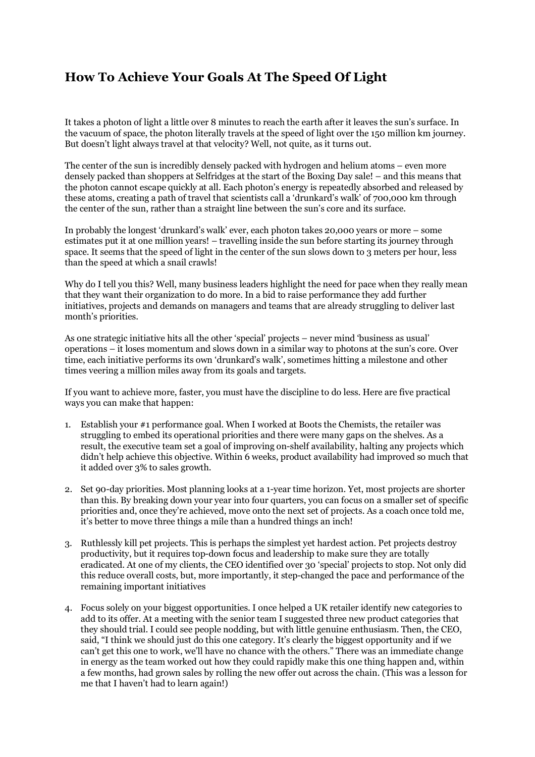## **How To Achieve Your Goals At The Speed Of Light**

It takes a photon of light a little over 8 minutes to reach the earth after it leaves the sun's surface. In the vacuum of space, the photon literally travels at the speed of light over the 150 million km journey. But doesn't light always travel at that velocity? Well, not quite, as it turns out.

The center of the sun is incredibly densely packed with hydrogen and helium atoms – even more densely packed than shoppers at Selfridges at the start of the Boxing Day sale! – and this means that the photon cannot escape quickly at all. Each photon's energy is repeatedly absorbed and released by these atoms, creating a path of travel that scientists call a 'drunkard's walk' of 700,000 km through the center of the sun, rather than a straight line between the sun's core and its surface.

In probably the longest 'drunkard's walk' ever, each photon takes 20,000 years or more – some estimates put it at one million years! – travelling inside the sun before starting its journey through space. It seems that the speed of light in the center of the sun slows down to 3 meters per hour, less than the speed at which a snail crawls!

Why do I tell you this? Well, many business leaders highlight the need for pace when they really mean that they want their organization to do more. In a bid to raise performance they add further initiatives, projects and demands on managers and teams that are already struggling to deliver last month's priorities.

As one strategic initiative hits all the other 'special' projects – never mind 'business as usual' operations – it loses momentum and slows down in a similar way to photons at the sun's core. Over time, each initiative performs its own 'drunkard's walk', sometimes hitting a milestone and other times veering a million miles away from its goals and targets.

If you want to achieve more, faster, you must have the discipline to do less. Here are five practical ways you can make that happen:

- 1. Establish your #1 performance goal. When I worked at Boots the Chemists, the retailer was struggling to embed its operational priorities and there were many gaps on the shelves. As a result, the executive team set a goal of improving on-shelf availability, halting any projects which didn't help achieve this objective. Within 6 weeks, product availability had improved so much that it added over 3% to sales growth.
- 2. Set 90-day priorities. Most planning looks at a 1-year time horizon. Yet, most projects are shorter than this. By breaking down your year into four quarters, you can focus on a smaller set of specific priorities and, once they're achieved, move onto the next set of projects. As a coach once told me, it's better to move three things a mile than a hundred things an inch!
- 3. Ruthlessly kill pet projects. This is perhaps the simplest yet hardest action. Pet projects destroy productivity, but it requires top-down focus and leadership to make sure they are totally eradicated. At one of my clients, the CEO identified over 30 'special' projects to stop. Not only did this reduce overall costs, but, more importantly, it step-changed the pace and performance of the remaining important initiatives
- 4. Focus solely on your biggest opportunities. I once helped a UK retailer identify new categories to add to its offer. At a meeting with the senior team I suggested three new product categories that they should trial. I could see people nodding, but with little genuine enthusiasm. Then, the CEO, said, "I think we should just do this one category. It's clearly the biggest opportunity and if we can't get this one to work, we'll have no chance with the others." There was an immediate change in energy as the team worked out how they could rapidly make this one thing happen and, within a few months, had grown sales by rolling the new offer out across the chain. (This was a lesson for me that I haven't had to learn again!)